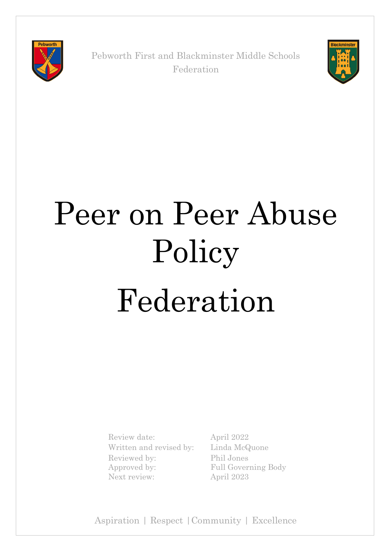

Pebworth First and Blackminster Middle Schools Federation



# Peer on Peer Abuse Policy Federation

Review date: April 2022 Written and revised by: Linda McQuone Reviewed by: Approved by: Next review: April 2023

Phil Jones Full Governing Body

Aspiration | Respect |Community | Excellence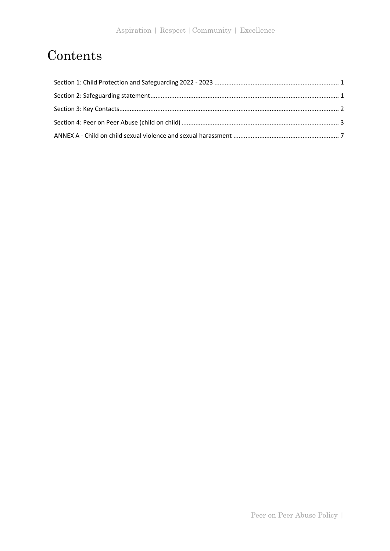# Contents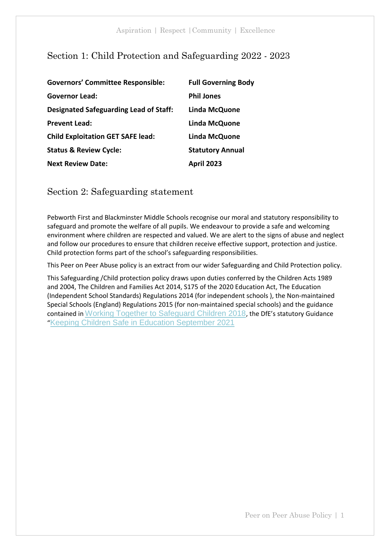# <span id="page-2-0"></span>Section 1: Child Protection and Safeguarding 2022 - 2023

| <b>Governors' Committee Responsible:</b>      | <b>Full Governing Body</b> |
|-----------------------------------------------|----------------------------|
| <b>Governor Lead:</b>                         | <b>Phil Jones</b>          |
| <b>Designated Safeguarding Lead of Staff:</b> | Linda McQuone              |
| <b>Prevent Lead:</b>                          | Linda McQuone              |
| <b>Child Exploitation GET SAFE lead:</b>      | Linda McQuone              |
| <b>Status &amp; Review Cycle:</b>             | <b>Statutory Annual</b>    |
| <b>Next Review Date:</b>                      | <b>April 2023</b>          |

<span id="page-2-1"></span>Section 2: Safeguarding statement

Pebworth First and Blackminster Middle Schools recognise our moral and statutory responsibility to safeguard and promote the welfare of all pupils. We endeavour to provide a safe and welcoming environment where children are respected and valued. We are alert to the signs of abuse and neglect and follow our procedures to ensure that children receive effective support, protection and justice. Child protection forms part of the school's safeguarding responsibilities.

This Peer on Peer Abuse policy is an extract from our wider Safeguarding and Child Protection policy.

This Safeguarding /Child protection policy draws upon duties conferred by the Children Acts 1989 and 2004, The Children and Families Act 2014, S175 of the 2020 Education Act, The Education (Independent School Standards) Regulations 2014 (for independent schools ), the Non-maintained Special Schools (England) Regulations 2015 (for non-maintained special schools) and the guidance contained in [Working Together to Safeguard Children 2018](https://assets.publishing.service.gov.uk/government/uploads/system/uploads/attachment_data/file/942454/Working_together_to_safeguard_children_inter_agency_guidance.pdf), the DfE's statutory Guidance "[Keeping Children Safe in Education September 2021](https://assets.publishing.service.gov.uk/government/uploads/system/uploads/attachment_data/file/999348/Keeping_children_safe_in_education_2021.pdf)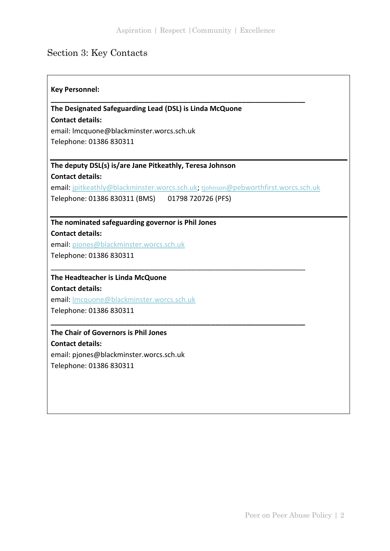# <span id="page-3-0"></span>Section 3: Key Contacts

 $\mathbf{r}$ 

| <b>Key Personnel:</b>                                                             |
|-----------------------------------------------------------------------------------|
| The Designated Safeguarding Lead (DSL) is Linda McQuone                           |
| <b>Contact details:</b>                                                           |
| email: Imcquone@blackminster.worcs.sch.uk                                         |
| Telephone: 01386 830311                                                           |
| The deputy DSL(s) is/are Jane Pitkeathly, Teresa Johnson                          |
| <b>Contact details:</b>                                                           |
| email: jpitkeathly@blackminster.worcs.sch.uk; tjohnson@pebworthfirst.worcs.sch.uk |
| Telephone: 01386 830311 (BMS)<br>01798 720726 (PFS)                               |
| The nominated safeguarding governor is Phil Jones                                 |
| <b>Contact details:</b>                                                           |
| email: pjones@blackminster.worcs.sch.uk                                           |
| Telephone: 01386 830311                                                           |
| The Headteacher is Linda McQuone                                                  |
| <b>Contact details:</b>                                                           |
| email: Imcquone@blackminster.worcs.sch.uk                                         |
| Telephone: 01386 830311                                                           |
| The Chair of Governors is Phil Jones                                              |
| <b>Contact details:</b>                                                           |
| email: pjones@blackminster.worcs.sch.uk                                           |
| Telephone: 01386 830311                                                           |
|                                                                                   |
|                                                                                   |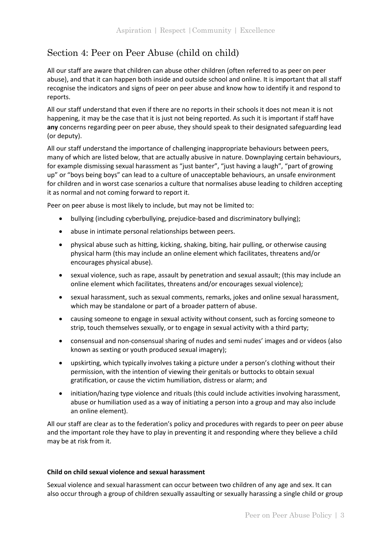# <span id="page-4-0"></span>Section 4: Peer on Peer Abuse (child on child)

All our staff are aware that children can abuse other children (often referred to as peer on peer abuse), and that it can happen both inside and outside school and online. It is important that all staff recognise the indicators and signs of peer on peer abuse and know how to identify it and respond to reports.

All our staff understand that even if there are no reports in their schools it does not mean it is not happening, it may be the case that it is just not being reported. As such it is important if staff have **any** concerns regarding peer on peer abuse, they should speak to their designated safeguarding lead (or deputy).

All our staff understand the importance of challenging inappropriate behaviours between peers, many of which are listed below, that are actually abusive in nature. Downplaying certain behaviours, for example dismissing sexual harassment as "just banter", "just having a laugh", "part of growing up" or "boys being boys" can lead to a culture of unacceptable behaviours, an unsafe environment for children and in worst case scenarios a culture that normalises abuse leading to children accepting it as normal and not coming forward to report it.

Peer on peer abuse is most likely to include, but may not be limited to:

- bullying (including cyberbullying, prejudice-based and discriminatory bullying);
- abuse in intimate personal relationships between peers.
- physical abuse such as hitting, kicking, shaking, biting, hair pulling, or otherwise causing physical harm (this may include an online element which facilitates, threatens and/or encourages physical abuse).
- sexual violence, such as rape, assault by penetration and sexual assault; (this may include an online element which facilitates, threatens and/or encourages sexual violence);
- sexual harassment, such as sexual comments, remarks, jokes and online sexual harassment, which may be standalone or part of a broader pattern of abuse.
- causing someone to engage in sexual activity without consent, such as forcing someone to strip, touch themselves sexually, or to engage in sexual activity with a third party;
- consensual and non-consensual sharing of nudes and semi nudes' images and or videos (also known as sexting or youth produced sexual imagery);
- upskirting, which typically involves taking a picture under a person's clothing without their permission, with the intention of viewing their genitals or buttocks to obtain sexual gratification, or cause the victim humiliation, distress or alarm; and
- initiation/hazing type violence and rituals (this could include activities involving harassment, abuse or humiliation used as a way of initiating a person into a group and may also include an online element).

All our staff are clear as to the federation's policy and procedures with regards to peer on peer abuse and the important role they have to play in preventing it and responding where they believe a child may be at risk from it.

#### **Child on child sexual violence and sexual harassment**

Sexual violence and sexual harassment can occur between two children of any age and sex. It can also occur through a group of children sexually assaulting or sexually harassing a single child or group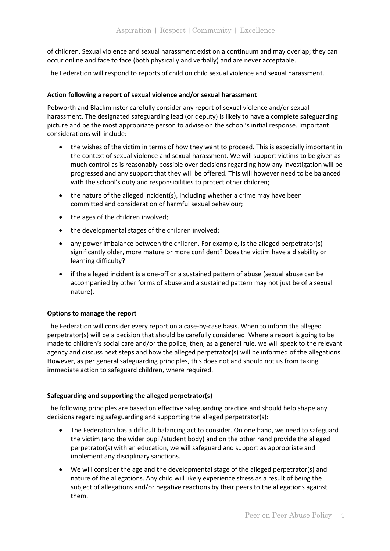of children. Sexual violence and sexual harassment exist on a continuum and may overlap; they can occur online and face to face (both physically and verbally) and are never acceptable.

The Federation will respond to reports of child on child sexual violence and sexual harassment.

## **Action following a report of sexual violence and/or sexual harassment**

Pebworth and Blackminster carefully consider any report of sexual violence and/or sexual harassment. The designated safeguarding lead (or deputy) is likely to have a complete safeguarding picture and be the most appropriate person to advise on the school's initial response. Important considerations will include:

- the wishes of the victim in terms of how they want to proceed. This is especially important in the context of sexual violence and sexual harassment. We will support victims to be given as much control as is reasonably possible over decisions regarding how any investigation will be progressed and any support that they will be offered. This will however need to be balanced with the school's duty and responsibilities to protect other children;
- the nature of the alleged incident(s), including whether a crime may have been committed and consideration of harmful sexual behaviour;
- the ages of the children involved;
- the developmental stages of the children involved;
- any power imbalance between the children. For example, is the alleged perpetrator(s) significantly older, more mature or more confident? Does the victim have a disability or learning difficulty?
- if the alleged incident is a one-off or a sustained pattern of abuse (sexual abuse can be accompanied by other forms of abuse and a sustained pattern may not just be of a sexual nature).

#### **Options to manage the report**

The Federation will consider every report on a case-by-case basis. When to inform the alleged perpetrator(s) will be a decision that should be carefully considered. Where a report is going to be made to children's social care and/or the police, then, as a general rule, we will speak to the relevant agency and discuss next steps and how the alleged perpetrator(s) will be informed of the allegations. However, as per general safeguarding principles, this does not and should not us from taking immediate action to safeguard children, where required.

#### **Safeguarding and supporting the alleged perpetrator(s)**

The following principles are based on effective safeguarding practice and should help shape any decisions regarding safeguarding and supporting the alleged perpetrator(s):

- The Federation has a difficult balancing act to consider. On one hand, we need to safeguard the victim (and the wider pupil/student body) and on the other hand provide the alleged perpetrator(s) with an education, we will safeguard and support as appropriate and implement any disciplinary sanctions.
- We will consider the age and the developmental stage of the alleged perpetrator(s) and nature of the allegations. Any child will likely experience stress as a result of being the subject of allegations and/or negative reactions by their peers to the allegations against them.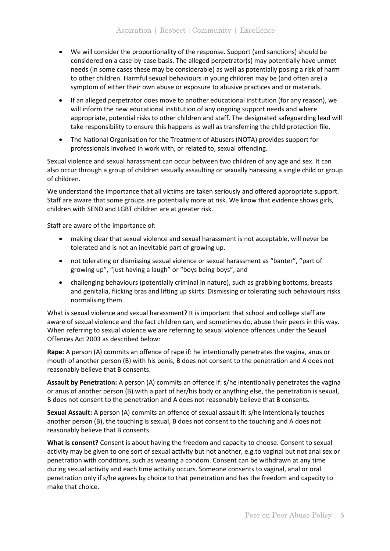- We will consider the proportionality of the response. Support (and sanctions) should be considered on a case-by-case basis. The alleged perpetrator(s) may potentially have unmet needs (in some cases these may be considerable) as well as potentially posing a risk of harm to other children. Harmful sexual behaviours in young children may be (and often are) a symptom of either their own abuse or exposure to abusive practices and or materials.
- If an alleged perpetrator does move to another educational institution (for any reason), we will inform the new educational institution of any ongoing support needs and where appropriate, potential risks to other children and staff. The designated safeguarding lead will take responsibility to ensure this happens as well as transferring the child protection file.
- The National Organisation for the Treatment of Abusers (NOTA) provides support for professionals involved in work with, or related to, sexual offending.

Sexual violence and sexual harassment can occur between two children of any age and sex. It can also occur through a group of children sexually assaulting or sexually harassing a single child or group of children.

We understand the importance that all victims are taken seriously and offered appropriate support. Staff are aware that some groups are potentially more at risk. We know that evidence shows girls, children with SEND and LGBT children are at greater risk.

Staff are aware of the importance of:

- making clear that sexual violence and sexual harassment is not acceptable, will never be tolerated and is not an inevitable part of growing up.
- not tolerating or dismissing sexual violence or sexual harassment as "banter", "part of growing up", "just having a laugh" or "boys being boys"; and
- challenging behaviours (potentially criminal in nature), such as grabbing bottoms, breasts and genitalia, flicking bras and lifting up skirts. Dismissing or tolerating such behaviours risks normalising them.

What is sexual violence and sexual harassment? It is important that school and college staff are aware of sexual violence and the fact children can, and sometimes do, abuse their peers in this way. When referring to sexual violence we are referring to sexual violence offences under the Sexual Offences Act 2003 as described below:

**Rape:** A person (A) commits an offence of rape if: he intentionally penetrates the vagina, anus or mouth of another person (B) with his penis, B does not consent to the penetration and A does not reasonably believe that B consents.

**Assault by Penetration:** A person (A) commits an offence if: s/he intentionally penetrates the vagina or anus of another person (B) with a part of her/his body or anything else, the penetration is sexual, B does not consent to the penetration and A does not reasonably believe that B consents.

**Sexual Assault:** A person (A) commits an offence of sexual assault if: s/he intentionally touches another person (B), the touching is sexual, B does not consent to the touching and A does not reasonably believe that B consents.

**What is consent?** Consent is about having the freedom and capacity to choose. Consent to sexual activity may be given to one sort of sexual activity but not another, e.g.to vaginal but not anal sex or penetration with conditions, such as wearing a condom. Consent can be withdrawn at any time during sexual activity and each time activity occurs. Someone consents to vaginal, anal or oral penetration only if s/he agrees by choice to that penetration and has the freedom and capacity to make that choice.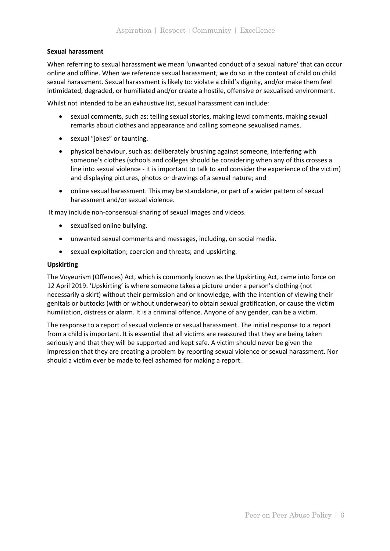## **Sexual harassment**

When referring to sexual harassment we mean 'unwanted conduct of a sexual nature' that can occur online and offline. When we reference sexual harassment, we do so in the context of child on child sexual harassment. Sexual harassment is likely to: violate a child's dignity, and/or make them feel intimidated, degraded, or humiliated and/or create a hostile, offensive or sexualised environment.

Whilst not intended to be an exhaustive list, sexual harassment can include:

- sexual comments, such as: telling sexual stories, making lewd comments, making sexual remarks about clothes and appearance and calling someone sexualised names.
- sexual "jokes" or taunting.
- physical behaviour, such as: deliberately brushing against someone, interfering with someone's clothes (schools and colleges should be considering when any of this crosses a line into sexual violence - it is important to talk to and consider the experience of the victim) and displaying pictures, photos or drawings of a sexual nature; and
- online sexual harassment. This may be standalone, or part of a wider pattern of sexual harassment and/or sexual violence.

It may include non-consensual sharing of sexual images and videos.

- sexualised online bullying.
- unwanted sexual comments and messages, including, on social media.
- sexual exploitation; coercion and threats; and upskirting.

#### **Upskirting**

The Voyeurism (Offences) Act, which is commonly known as the Upskirting Act, came into force on 12 April 2019. 'Upskirting' is where someone takes a picture under a person's clothing (not necessarily a skirt) without their permission and or knowledge, with the intention of viewing their genitals or buttocks (with or without underwear) to obtain sexual gratification, or cause the victim humiliation, distress or alarm. It is a criminal offence. Anyone of any gender, can be a victim.

The response to a report of sexual violence or sexual harassment. The initial response to a report from a child is important. It is essential that all victims are reassured that they are being taken seriously and that they will be supported and kept safe. A victim should never be given the impression that they are creating a problem by reporting sexual violence or sexual harassment. Nor should a victim ever be made to feel ashamed for making a report.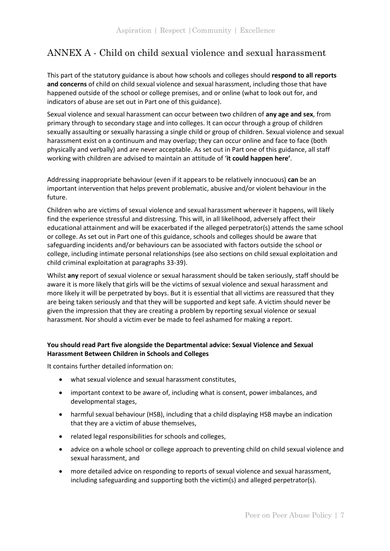# <span id="page-8-0"></span>ANNEX A - Child on child sexual violence and sexual harassment

This part of the statutory guidance is about how schools and colleges should **respond to all reports and concerns** of child on child sexual violence and sexual harassment, including those that have happened outside of the school or college premises, and or online (what to look out for, and indicators of abuse are set out in Part one of this guidance).

Sexual violence and sexual harassment can occur between two children of **any age and sex**, from primary through to secondary stage and into colleges. It can occur through a group of children sexually assaulting or sexually harassing a single child or group of children. Sexual violence and sexual harassment exist on a continuum and may overlap; they can occur online and face to face (both physically and verbally) and are never acceptable. As set out in Part one of this guidance, all staff working with children are advised to maintain an attitude of '**it could happen here'**.

Addressing inappropriate behaviour (even if it appears to be relatively innocuous) **can** be an important intervention that helps prevent problematic, abusive and/or violent behaviour in the future.

Children who are victims of sexual violence and sexual harassment wherever it happens, will likely find the experience stressful and distressing. This will, in all likelihood, adversely affect their educational attainment and will be exacerbated if the alleged perpetrator(s) attends the same school or college. As set out in Part one of this guidance, schools and colleges should be aware that safeguarding incidents and/or behaviours can be associated with factors outside the school or college, including intimate personal relationships (see also sections on child sexual exploitation and child criminal exploitation at paragraphs 33-39).

Whilst **any** report of sexual violence or sexual harassment should be taken seriously, staff should be aware it is more likely that girls will be the victims of sexual violence and sexual harassment and more likely it will be perpetrated by boys. But it is essential that all victims are reassured that they are being taken seriously and that they will be supported and kept safe. A victim should never be given the impression that they are creating a problem by reporting sexual violence or sexual harassment. Nor should a victim ever be made to feel ashamed for making a report.

# **You should read Part five alongside the Departmental advice: Sexual Violence and Sexual Harassment Between Children in Schools and Colleges**

It contains further detailed information on:

- what sexual violence and sexual harassment constitutes,
- important context to be aware of, including what is consent, power imbalances, and developmental stages,
- harmful sexual behaviour (HSB), including that a child displaying HSB maybe an indication that they are a victim of abuse themselves,
- related legal responsibilities for schools and colleges,
- advice on a whole school or college approach to preventing child on child sexual violence and sexual harassment, and
- more detailed advice on responding to reports of sexual violence and sexual harassment, including safeguarding and supporting both the victim(s) and alleged perpetrator(s).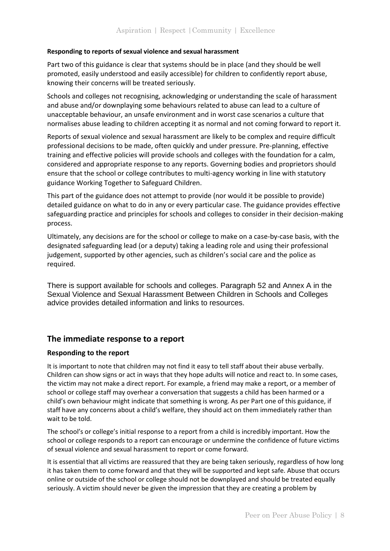## **Responding to reports of sexual violence and sexual harassment**

Part two of this guidance is clear that systems should be in place (and they should be well promoted, easily understood and easily accessible) for children to confidently report abuse, knowing their concerns will be treated seriously.

Schools and colleges not recognising, acknowledging or understanding the scale of harassment and abuse and/or downplaying some behaviours related to abuse can lead to a culture of unacceptable behaviour, an unsafe environment and in worst case scenarios a culture that normalises abuse leading to children accepting it as normal and not coming forward to report it.

Reports of sexual violence and sexual harassment are likely to be complex and require difficult professional decisions to be made, often quickly and under pressure. Pre-planning, effective training and effective policies will provide schools and colleges with the foundation for a calm, considered and appropriate response to any reports. Governing bodies and proprietors should ensure that the school or college contributes to multi-agency working in line with statutory guidance Working Together to Safeguard Children.

This part of the guidance does not attempt to provide (nor would it be possible to provide) detailed guidance on what to do in any or every particular case. The guidance provides effective safeguarding practice and principles for schools and colleges to consider in their decision-making process.

Ultimately, any decisions are for the school or college to make on a case-by-case basis, with the designated safeguarding lead (or a deputy) taking a leading role and using their professional judgement, supported by other agencies, such as children's social care and the police as required.

There is support available for schools and colleges. Paragraph 52 and Annex A in the Sexual Violence and Sexual Harassment Between Children in Schools and Colleges advice provides detailed information and links to resources.

# **The immediate response to a report**

# **Responding to the report**

It is important to note that children may not find it easy to tell staff about their abuse verbally. Children can show signs or act in ways that they hope adults will notice and react to. In some cases, the victim may not make a direct report. For example, a friend may make a report, or a member of school or college staff may overhear a conversation that suggests a child has been harmed or a child's own behaviour might indicate that something is wrong. As per Part one of this guidance, if staff have any concerns about a child's welfare, they should act on them immediately rather than wait to be told.

The school's or college's initial response to a report from a child is incredibly important. How the school or college responds to a report can encourage or undermine the confidence of future victims of sexual violence and sexual harassment to report or come forward.

It is essential that all victims are reassured that they are being taken seriously, regardless of how long it has taken them to come forward and that they will be supported and kept safe. Abuse that occurs online or outside of the school or college should not be downplayed and should be treated equally seriously. A victim should never be given the impression that they are creating a problem by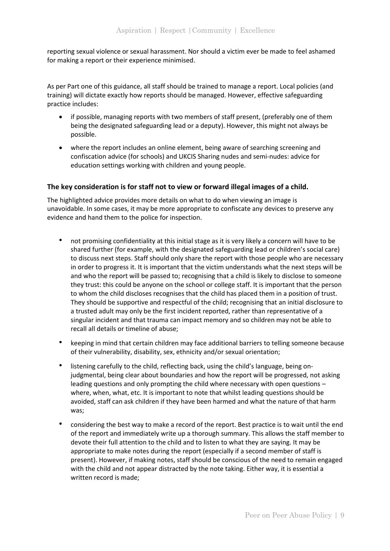reporting sexual violence or sexual harassment. Nor should a victim ever be made to feel ashamed for making a report or their experience minimised.

As per Part one of this guidance, all staff should be trained to manage a report. Local policies (and training) will dictate exactly how reports should be managed. However, effective safeguarding practice includes:

- if possible, managing reports with two members of staff present, (preferably one of them being the designated safeguarding lead or a deputy). However, this might not always be possible.
- where the report includes an online element, being aware of searching screening and confiscation advice (for schools) and UKCIS Sharing nudes and semi-nudes: advice for education settings working with children and young people.

# **The key consideration is for staff not to view or forward illegal images of a child.**

The highlighted advice provides more details on what to do when viewing an image is unavoidable. In some cases, it may be more appropriate to confiscate any devices to preserve any evidence and hand them to the police for inspection.

- not promising confidentiality at this initial stage as it is very likely a concern will have to be shared further (for example, with the designated safeguarding lead or children's social care) to discuss next steps. Staff should only share the report with those people who are necessary in order to progress it. It is important that the victim understands what the next steps will be and who the report will be passed to; recognising that a child is likely to disclose to someone they trust: this could be anyone on the school or college staff. It is important that the person to whom the child discloses recognises that the child has placed them in a position of trust. They should be supportive and respectful of the child; recognising that an initial disclosure to a trusted adult may only be the first incident reported, rather than representative of a singular incident and that trauma can impact memory and so children may not be able to recall all details or timeline of abuse;
- keeping in mind that certain children may face additional barriers to telling someone because of their vulnerability, disability, sex, ethnicity and/or sexual orientation;
- listening carefully to the child, reflecting back, using the child's language, being onjudgmental, being clear about boundaries and how the report will be progressed, not asking leading questions and only prompting the child where necessary with open questions – where, when, what, etc. It is important to note that whilst leading questions should be avoided, staff can ask children if they have been harmed and what the nature of that harm was;
- considering the best way to make a record of the report. Best practice is to wait until the end of the report and immediately write up a thorough summary. This allows the staff member to devote their full attention to the child and to listen to what they are saying. It may be appropriate to make notes during the report (especially if a second member of staff is present). However, if making notes, staff should be conscious of the need to remain engaged with the child and not appear distracted by the note taking. Either way, it is essential a written record is made;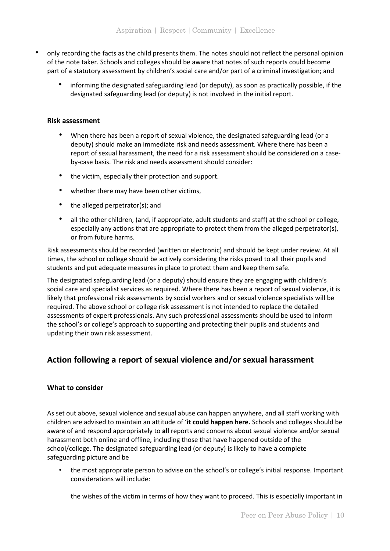- only recording the facts as the child presents them. The notes should not reflect the personal opinion of the note taker. Schools and colleges should be aware that notes of such reports could become part of a statutory assessment by children's social care and/or part of a criminal investigation; and
	- informing the designated safeguarding lead (or deputy), as soon as practically possible, if the designated safeguarding lead (or deputy) is not involved in the initial report.

## **Risk assessment**

- When there has been a report of sexual violence, the designated safeguarding lead (or a deputy) should make an immediate risk and needs assessment. Where there has been a report of sexual harassment, the need for a risk assessment should be considered on a caseby-case basis. The risk and needs assessment should consider:
- the victim, especially their protection and support.
- whether there may have been other victims,
- the alleged perpetrator(s); and
- all the other children, (and, if appropriate, adult students and staff) at the school or college, especially any actions that are appropriate to protect them from the alleged perpetrator(s), or from future harms.

Risk assessments should be recorded (written or electronic) and should be kept under review. At all times, the school or college should be actively considering the risks posed to all their pupils and students and put adequate measures in place to protect them and keep them safe.

The designated safeguarding lead (or a deputy) should ensure they are engaging with children's social care and specialist services as required. Where there has been a report of sexual violence, it is likely that professional risk assessments by social workers and or sexual violence specialists will be required. The above school or college risk assessment is not intended to replace the detailed assessments of expert professionals. Any such professional assessments should be used to inform the school's or college's approach to supporting and protecting their pupils and students and updating their own risk assessment.

# **Action following a report of sexual violence and/or sexual harassment**

# **What to consider**

As set out above, sexual violence and sexual abuse can happen anywhere, and all staff working with children are advised to maintain an attitude of '**it could happen here.** Schools and colleges should be aware of and respond appropriately to **all** reports and concerns about sexual violence and/or sexual harassment both online and offline, including those that have happened outside of the school/college. The designated safeguarding lead (or deputy) is likely to have a complete safeguarding picture and be

• the most appropriate person to advise on the school's or college's initial response. Important considerations will include:

the wishes of the victim in terms of how they want to proceed. This is especially important in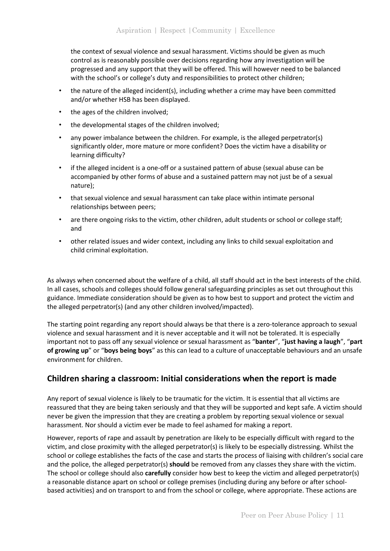the context of sexual violence and sexual harassment. Victims should be given as much control as is reasonably possible over decisions regarding how any investigation will be progressed and any support that they will be offered. This will however need to be balanced with the school's or college's duty and responsibilities to protect other children;

- the nature of the alleged incident(s), including whether a crime may have been committed and/or whether HSB has been displayed.
- the ages of the children involved;
- the developmental stages of the children involved;
- any power imbalance between the children. For example, is the alleged perpetrator(s) significantly older, more mature or more confident? Does the victim have a disability or learning difficulty?
- if the alleged incident is a one-off or a sustained pattern of abuse (sexual abuse can be accompanied by other forms of abuse and a sustained pattern may not just be of a sexual nature);
- that sexual violence and sexual harassment can take place within intimate personal relationships between peers;
- are there ongoing risks to the victim, other children, adult students or school or college staff; and
- other related issues and wider context, including any links to child sexual exploitation and child criminal exploitation.

As always when concerned about the welfare of a child, all staff should act in the best interests of the child. In all cases, schools and colleges should follow general safeguarding principles as set out throughout this guidance. Immediate consideration should be given as to how best to support and protect the victim and the alleged perpetrator(s) (and any other children involved/impacted).

The starting point regarding any report should always be that there is a zero-tolerance approach to sexual violence and sexual harassment and it is never acceptable and it will not be tolerated. It is especially important not to pass off any sexual violence or sexual harassment as "**banter**", "**just having a laugh**", "**part of growing up**" or "**boys being boys**" as this can lead to a culture of unacceptable behaviours and an unsafe environment for children.

# **Children sharing a classroom: Initial considerations when the report is made**

Any report of sexual violence is likely to be traumatic for the victim. It is essential that all victims are reassured that they are being taken seriously and that they will be supported and kept safe. A victim should never be given the impression that they are creating a problem by reporting sexual violence or sexual harassment. Nor should a victim ever be made to feel ashamed for making a report.

However, reports of rape and assault by penetration are likely to be especially difficult with regard to the victim, and close proximity with the alleged perpetrator(s) is likely to be especially distressing. Whilst the school or college establishes the facts of the case and starts the process of liaising with children's social care and the police, the alleged perpetrator(s) **should** be removed from any classes they share with the victim. The school or college should also **carefully** consider how best to keep the victim and alleged perpetrator(s) a reasonable distance apart on school or college premises (including during any before or after schoolbased activities) and on transport to and from the school or college, where appropriate. These actions are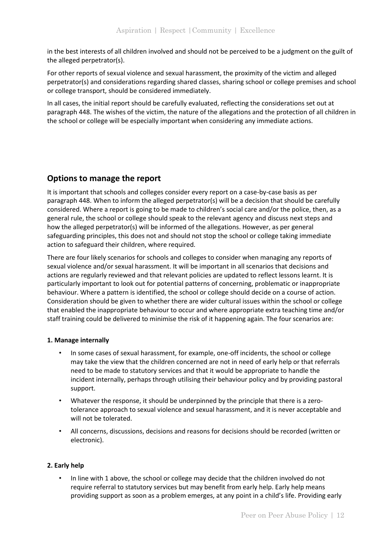in the best interests of all children involved and should not be perceived to be a judgment on the guilt of the alleged perpetrator(s).

For other reports of sexual violence and sexual harassment, the proximity of the victim and alleged perpetrator(s) and considerations regarding shared classes, sharing school or college premises and school or college transport, should be considered immediately.

In all cases, the initial report should be carefully evaluated, reflecting the considerations set out at paragraph 448. The wishes of the victim, the nature of the allegations and the protection of all children in the school or college will be especially important when considering any immediate actions.

# **Options to manage the report**

It is important that schools and colleges consider every report on a case-by-case basis as per paragraph 448. When to inform the alleged perpetrator(s) will be a decision that should be carefully considered. Where a report is going to be made to children's social care and/or the police, then, as a general rule, the school or college should speak to the relevant agency and discuss next steps and how the alleged perpetrator(s) will be informed of the allegations. However, as per general safeguarding principles, this does not and should not stop the school or college taking immediate action to safeguard their children, where required.

There are four likely scenarios for schools and colleges to consider when managing any reports of sexual violence and/or sexual harassment. It will be important in all scenarios that decisions and actions are regularly reviewed and that relevant policies are updated to reflect lessons learnt. It is particularly important to look out for potential patterns of concerning, problematic or inappropriate behaviour. Where a pattern is identified, the school or college should decide on a course of action. Consideration should be given to whether there are wider cultural issues within the school or college that enabled the inappropriate behaviour to occur and where appropriate extra teaching time and/or staff training could be delivered to minimise the risk of it happening again. The four scenarios are:

#### **1. Manage internally**

- In some cases of sexual harassment, for example, one-off incidents, the school or college may take the view that the children concerned are not in need of early help or that referrals need to be made to statutory services and that it would be appropriate to handle the incident internally, perhaps through utilising their behaviour policy and by providing pastoral support.
- Whatever the response, it should be underpinned by the principle that there is a zerotolerance approach to sexual violence and sexual harassment, and it is never acceptable and will not be tolerated.
- All concerns, discussions, decisions and reasons for decisions should be recorded (written or electronic).

# **2. Early help**

• In line with 1 above, the school or college may decide that the children involved do not require referral to statutory services but may benefit from early help. Early help means providing support as soon as a problem emerges, at any point in a child's life. Providing early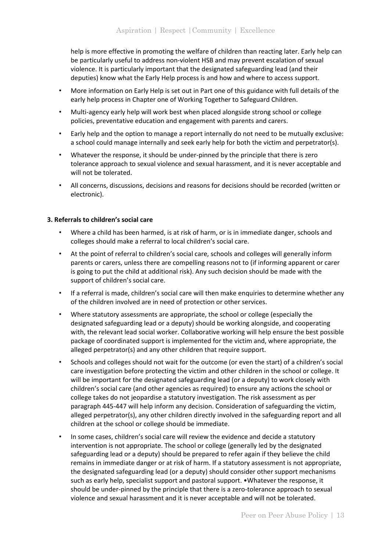help is more effective in promoting the welfare of children than reacting later. Early help can be particularly useful to address non-violent HSB and may prevent escalation of sexual violence. It is particularly important that the designated safeguarding lead (and their deputies) know what the Early Help process is and how and where to access support.

- More information on Early Help is set out in Part one of this guidance with full details of the early help process in Chapter one of Working Together to Safeguard Children.
- Multi-agency early help will work best when placed alongside strong school or college policies, preventative education and engagement with parents and carers.
- Early help and the option to manage a report internally do not need to be mutually exclusive: a school could manage internally and seek early help for both the victim and perpetrator(s).
- Whatever the response, it should be under-pinned by the principle that there is zero tolerance approach to sexual violence and sexual harassment, and it is never acceptable and will not be tolerated.
- All concerns, discussions, decisions and reasons for decisions should be recorded (written or electronic).

# **3. Referrals to children's social care**

- Where a child has been harmed, is at risk of harm, or is in immediate danger, schools and colleges should make a referral to local children's social care.
- At the point of referral to children's social care, schools and colleges will generally inform parents or carers, unless there are compelling reasons not to (if informing apparent or carer is going to put the child at additional risk). Any such decision should be made with the support of children's social care.
- If a referral is made, children's social care will then make enquiries to determine whether any of the children involved are in need of protection or other services.
- Where statutory assessments are appropriate, the school or college (especially the designated safeguarding lead or a deputy) should be working alongside, and cooperating with, the relevant lead social worker. Collaborative working will help ensure the best possible package of coordinated support is implemented for the victim and, where appropriate, the alleged perpetrator(s) and any other children that require support.
- Schools and colleges should not wait for the outcome (or even the start) of a children's social care investigation before protecting the victim and other children in the school or college. It will be important for the designated safeguarding lead (or a deputy) to work closely with children's social care (and other agencies as required) to ensure any actions the school or college takes do not jeopardise a statutory investigation. The risk assessment as per paragraph 445-447 will help inform any decision. Consideration of safeguarding the victim, alleged perpetrator(s), any other children directly involved in the safeguarding report and all children at the school or college should be immediate.
- In some cases, children's social care will review the evidence and decide a statutory intervention is not appropriate. The school or college (generally led by the designated safeguarding lead or a deputy) should be prepared to refer again if they believe the child remains in immediate danger or at risk of harm. If a statutory assessment is not appropriate, the designated safeguarding lead (or a deputy) should consider other support mechanisms such as early help, specialist support and pastoral support. •Whatever the response, it should be under-pinned by the principle that there is a zero-tolerance approach to sexual violence and sexual harassment and it is never acceptable and will not be tolerated.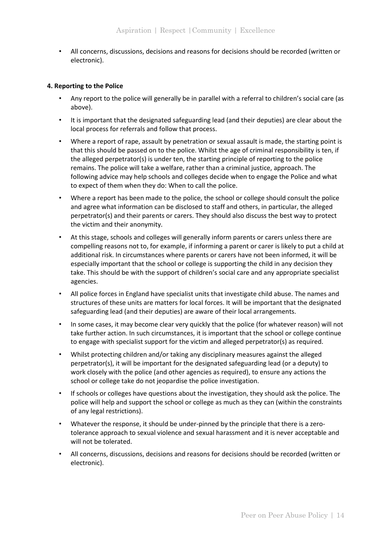• All concerns, discussions, decisions and reasons for decisions should be recorded (written or electronic).

#### **4. Reporting to the Police**

- Any report to the police will generally be in parallel with a referral to children's social care (as above).
- It is important that the designated safeguarding lead (and their deputies) are clear about the local process for referrals and follow that process.
- Where a report of rape, assault by penetration or sexual assault is made, the starting point is that this should be passed on to the police. Whilst the age of criminal responsibility is ten, if the alleged perpetrator(s) is under ten, the starting principle of reporting to the police remains. The police will take a welfare, rather than a criminal justice, approach. The following advice may help schools and colleges decide when to engage the Police and what to expect of them when they do: When to call the police.
- Where a report has been made to the police, the school or college should consult the police and agree what information can be disclosed to staff and others, in particular, the alleged perpetrator(s) and their parents or carers. They should also discuss the best way to protect the victim and their anonymity.
- At this stage, schools and colleges will generally inform parents or carers unless there are compelling reasons not to, for example, if informing a parent or carer is likely to put a child at additional risk. In circumstances where parents or carers have not been informed, it will be especially important that the school or college is supporting the child in any decision they take. This should be with the support of children's social care and any appropriate specialist agencies.
- All police forces in England have specialist units that investigate child abuse. The names and structures of these units are matters for local forces. It will be important that the designated safeguarding lead (and their deputies) are aware of their local arrangements.
- In some cases, it may become clear very quickly that the police (for whatever reason) will not take further action. In such circumstances, it is important that the school or college continue to engage with specialist support for the victim and alleged perpetrator(s) as required.
- Whilst protecting children and/or taking any disciplinary measures against the alleged perpetrator(s), it will be important for the designated safeguarding lead (or a deputy) to work closely with the police (and other agencies as required), to ensure any actions the school or college take do not jeopardise the police investigation.
- If schools or colleges have questions about the investigation, they should ask the police. The police will help and support the school or college as much as they can (within the constraints of any legal restrictions).
- Whatever the response, it should be under-pinned by the principle that there is a zerotolerance approach to sexual violence and sexual harassment and it is never acceptable and will not be tolerated.
- All concerns, discussions, decisions and reasons for decisions should be recorded (written or electronic).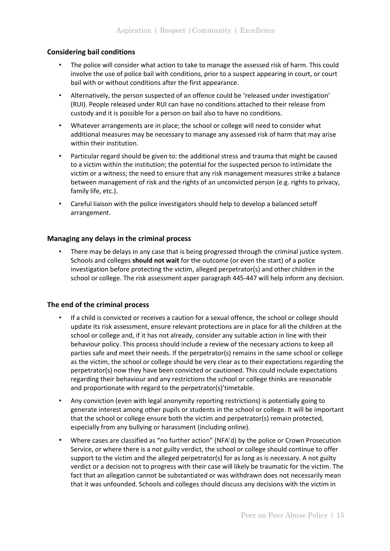# **Considering bail conditions**

- The police will consider what action to take to manage the assessed risk of harm. This could involve the use of police bail with conditions, prior to a suspect appearing in court, or court bail with or without conditions after the first appearance.
- Alternatively, the person suspected of an offence could be 'released under investigation' (RUI). People released under RUI can have no conditions attached to their release from custody and it is possible for a person on bail also to have no conditions.
- Whatever arrangements are in place; the school or college will need to consider what additional measures may be necessary to manage any assessed risk of harm that may arise within their institution.
- Particular regard should be given to: the additional stress and trauma that might be caused to a victim within the institution; the potential for the suspected person to intimidate the victim or a witness; the need to ensure that any risk management measures strike a balance between management of risk and the rights of an unconvicted person (e.g. rights to privacy, family life, etc.).
- Careful liaison with the police investigators should help to develop a balanced setoff arrangement.

# **Managing any delays in the criminal process**

There may be delays in any case that is being progressed through the criminal justice system. Schools and colleges **should not wait** for the outcome (or even the start) of a police investigation before protecting the victim, alleged perpetrator(s) and other children in the school or college. The risk assessment asper paragraph 445-447 will help inform any decision.

# **The end of the criminal process**

- If a child is convicted or receives a caution for a sexual offence, the school or college should update its risk assessment, ensure relevant protections are in place for all the children at the school or college and, if it has not already, consider any suitable action in line with their behaviour policy. This process should include a review of the necessary actions to keep all parties safe and meet their needs. If the perpetrator(s) remains in the same school or college as the victim, the school or college should be very clear as to their expectations regarding the perpetrator(s) now they have been convicted or cautioned. This could include expectations regarding their behaviour and any restrictions the school or college thinks are reasonable and proportionate with regard to the perpetrator(s)'timetable.
- Any conviction (even with legal anonymity reporting restrictions) is potentially going to generate interest among other pupils or students in the school or college. It will be important that the school or college ensure both the victim and perpetrator(s) remain protected, especially from any bullying or harassment (including online).
- Where cases are classified as "no further action" (NFA'd) by the police or Crown Prosecution Service, or where there is a not guilty verdict, the school or college should continue to offer support to the victim and the alleged perpetrator(s) for as long as is necessary. A not guilty verdict or a decision not to progress with their case will likely be traumatic for the victim. The fact that an allegation cannot be substantiated or was withdrawn does not necessarily mean that it was unfounded. Schools and colleges should discuss any decisions with the victim in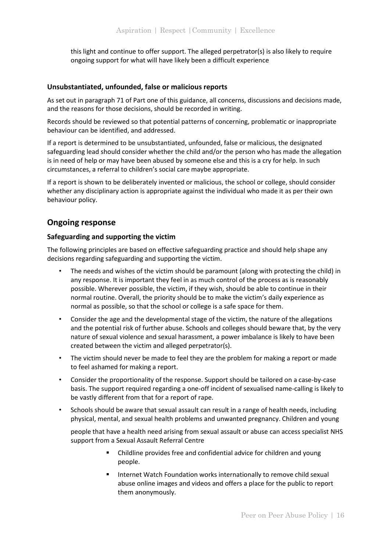this light and continue to offer support. The alleged perpetrator(s) is also likely to require ongoing support for what will have likely been a difficult experience

#### **Unsubstantiated, unfounded, false or malicious reports**

As set out in paragraph 71 of Part one of this guidance, all concerns, discussions and decisions made, and the reasons for those decisions, should be recorded in writing.

Records should be reviewed so that potential patterns of concerning, problematic or inappropriate behaviour can be identified, and addressed.

If a report is determined to be unsubstantiated, unfounded, false or malicious, the designated safeguarding lead should consider whether the child and/or the person who has made the allegation is in need of help or may have been abused by someone else and this is a cry for help. In such circumstances, a referral to children's social care maybe appropriate.

If a report is shown to be deliberately invented or malicious, the school or college, should consider whether any disciplinary action is appropriate against the individual who made it as per their own behaviour policy.

# **Ongoing response**

# **Safeguarding and supporting the victim**

The following principles are based on effective safeguarding practice and should help shape any decisions regarding safeguarding and supporting the victim.

- The needs and wishes of the victim should be paramount (along with protecting the child) in any response. It is important they feel in as much control of the process as is reasonably possible. Wherever possible, the victim, if they wish, should be able to continue in their normal routine. Overall, the priority should be to make the victim's daily experience as normal as possible, so that the school or college is a safe space for them.
- Consider the age and the developmental stage of the victim, the nature of the allegations and the potential risk of further abuse. Schools and colleges should beware that, by the very nature of sexual violence and sexual harassment, a power imbalance is likely to have been created between the victim and alleged perpetrator(s).
- The victim should never be made to feel they are the problem for making a report or made to feel ashamed for making a report.
- Consider the proportionality of the response. Support should be tailored on a case-by-case basis. The support required regarding a one-off incident of sexualised name-calling is likely to be vastly different from that for a report of rape.
- Schools should be aware that sexual assault can result in a range of health needs, including physical, mental, and sexual health problems and unwanted pregnancy. Children and young

people that have a health need arising from sexual assault or abuse can access specialist NHS support from a Sexual Assault Referral Centre

- Childline provides free and confidential advice for children and young people.
- Internet Watch Foundation works internationally to remove child sexual abuse online images and videos and offers a place for the public to report them anonymously.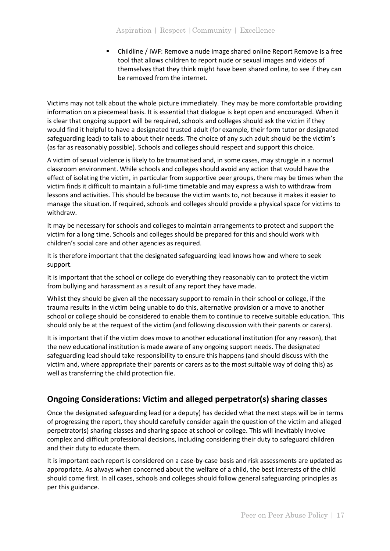▪ Childline / IWF: Remove a nude image shared online Report Remove is a free tool that allows children to report nude or sexual images and videos of themselves that they think might have been shared online, to see if they can be removed from the internet.

Victims may not talk about the whole picture immediately. They may be more comfortable providing information on a piecemeal basis. It is essential that dialogue is kept open and encouraged. When it is clear that ongoing support will be required, schools and colleges should ask the victim if they would find it helpful to have a designated trusted adult (for example, their form tutor or designated safeguarding lead) to talk to about their needs. The choice of any such adult should be the victim's (as far as reasonably possible). Schools and colleges should respect and support this choice.

A victim of sexual violence is likely to be traumatised and, in some cases, may struggle in a normal classroom environment. While schools and colleges should avoid any action that would have the effect of isolating the victim, in particular from supportive peer groups, there may be times when the victim finds it difficult to maintain a full-time timetable and may express a wish to withdraw from lessons and activities. This should be because the victim wants to, not because it makes it easier to manage the situation. If required, schools and colleges should provide a physical space for victims to withdraw.

It may be necessary for schools and colleges to maintain arrangements to protect and support the victim for a long time. Schools and colleges should be prepared for this and should work with children's social care and other agencies as required.

It is therefore important that the designated safeguarding lead knows how and where to seek support.

It is important that the school or college do everything they reasonably can to protect the victim from bullying and harassment as a result of any report they have made.

Whilst they should be given all the necessary support to remain in their school or college, if the trauma results in the victim being unable to do this, alternative provision or a move to another school or college should be considered to enable them to continue to receive suitable education. This should only be at the request of the victim (and following discussion with their parents or carers).

It is important that if the victim does move to another educational institution (for any reason), that the new educational institution is made aware of any ongoing support needs. The designated safeguarding lead should take responsibility to ensure this happens (and should discuss with the victim and, where appropriate their parents or carers as to the most suitable way of doing this) as well as transferring the child protection file.

# **Ongoing Considerations: Victim and alleged perpetrator(s) sharing classes**

Once the designated safeguarding lead (or a deputy) has decided what the next steps will be in terms of progressing the report, they should carefully consider again the question of the victim and alleged perpetrator(s) sharing classes and sharing space at school or college. This will inevitably involve complex and difficult professional decisions, including considering their duty to safeguard children and their duty to educate them.

It is important each report is considered on a case-by-case basis and risk assessments are updated as appropriate. As always when concerned about the welfare of a child, the best interests of the child should come first. In all cases, schools and colleges should follow general safeguarding principles as per this guidance.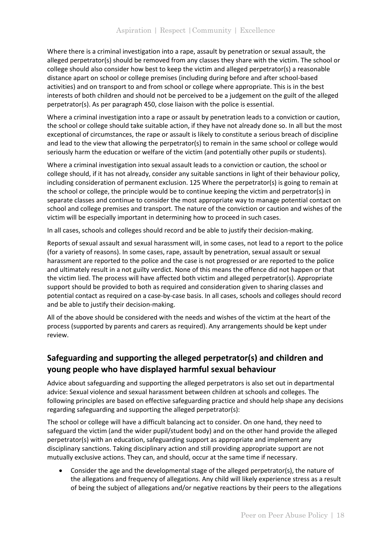Where there is a criminal investigation into a rape, assault by penetration or sexual assault, the alleged perpetrator(s) should be removed from any classes they share with the victim. The school or college should also consider how best to keep the victim and alleged perpetrator(s) a reasonable distance apart on school or college premises (including during before and after school-based activities) and on transport to and from school or college where appropriate. This is in the best interests of both children and should not be perceived to be a judgement on the guilt of the alleged perpetrator(s). As per paragraph 450, close liaison with the police is essential.

Where a criminal investigation into a rape or assault by penetration leads to a conviction or caution, the school or college should take suitable action, if they have not already done so. In all but the most exceptional of circumstances, the rape or assault is likely to constitute a serious breach of discipline and lead to the view that allowing the perpetrator(s) to remain in the same school or college would seriously harm the education or welfare of the victim (and potentially other pupils or students).

Where a criminal investigation into sexual assault leads to a conviction or caution, the school or college should, if it has not already, consider any suitable sanctions in light of their behaviour policy, including consideration of permanent exclusion. 125 Where the perpetrator(s) is going to remain at the school or college, the principle would be to continue keeping the victim and perpetrator(s) in separate classes and continue to consider the most appropriate way to manage potential contact on school and college premises and transport. The nature of the conviction or caution and wishes of the victim will be especially important in determining how to proceed in such cases.

In all cases, schools and colleges should record and be able to justify their decision-making.

Reports of sexual assault and sexual harassment will, in some cases, not lead to a report to the police (for a variety of reasons). In some cases, rape, assault by penetration, sexual assault or sexual harassment are reported to the police and the case is not progressed or are reported to the police and ultimately result in a not guilty verdict. None of this means the offence did not happen or that the victim lied. The process will have affected both victim and alleged perpetrator(s). Appropriate support should be provided to both as required and consideration given to sharing classes and potential contact as required on a case-by-case basis. In all cases, schools and colleges should record and be able to justify their decision-making.

All of the above should be considered with the needs and wishes of the victim at the heart of the process (supported by parents and carers as required). Any arrangements should be kept under review.

# **Safeguarding and supporting the alleged perpetrator(s) and children and young people who have displayed harmful sexual behaviour**

Advice about safeguarding and supporting the alleged perpetrators is also set out in departmental advice: Sexual violence and sexual harassment between children at schools and colleges. The following principles are based on effective safeguarding practice and should help shape any decisions regarding safeguarding and supporting the alleged perpetrator(s):

The school or college will have a difficult balancing act to consider. On one hand, they need to safeguard the victim (and the wider pupil/student body) and on the other hand provide the alleged perpetrator(s) with an education, safeguarding support as appropriate and implement any disciplinary sanctions. Taking disciplinary action and still providing appropriate support are not mutually exclusive actions. They can, and should, occur at the same time if necessary.

• Consider the age and the developmental stage of the alleged perpetrator(s), the nature of the allegations and frequency of allegations. Any child will likely experience stress as a result of being the subject of allegations and/or negative reactions by their peers to the allegations